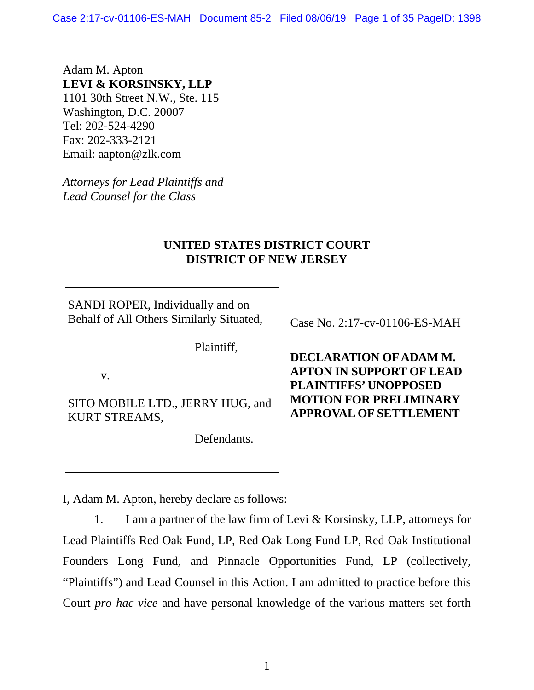Case 2:17-cv-01106-ES-MAH Document 85-2 Filed 08/06/19 Page 1 of 35 PageID: 1398

Adam M. Apton **LEVI & KORSINSKY, LLP**  1101 30th Street N.W., Ste. 115 Washington, D.C. 20007 Tel: 202-524-4290 Fax: 202-333-2121 Email: aapton@zlk.com

*Attorneys for Lead Plaintiffs and Lead Counsel for the Class* 

### **UNITED STATES DISTRICT COURT DISTRICT OF NEW JERSEY**

SANDI ROPER, Individually and on Behalf of All Others Similarly Situated,

Plaintiff,

v.

SITO MOBILE LTD., JERRY HUG, and KURT STREAMS,

Defendants.

Case No. 2:17-cv-01106-ES-MAH

**DECLARATION OF ADAM M. APTON IN SUPPORT OF LEAD PLAINTIFFS' UNOPPOSED MOTION FOR PRELIMINARY APPROVAL OF SETTLEMENT** 

I, Adam M. Apton, hereby declare as follows:

1. I am a partner of the law firm of Levi & Korsinsky, LLP, attorneys for Lead Plaintiffs Red Oak Fund, LP, Red Oak Long Fund LP, Red Oak Institutional Founders Long Fund, and Pinnacle Opportunities Fund, LP (collectively, "Plaintiffs") and Lead Counsel in this Action. I am admitted to practice before this Court *pro hac vice* and have personal knowledge of the various matters set forth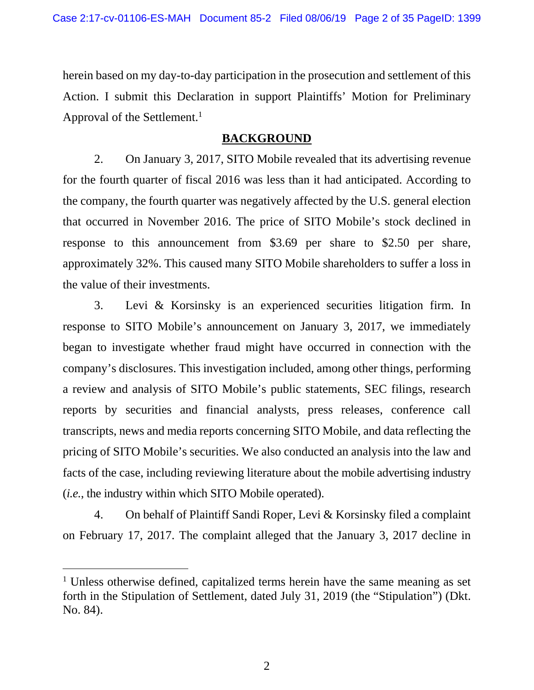herein based on my day-to-day participation in the prosecution and settlement of this Action. I submit this Declaration in support Plaintiffs' Motion for Preliminary Approval of the Settlement.<sup>1</sup>

### **BACKGROUND**

2. On January 3, 2017, SITO Mobile revealed that its advertising revenue for the fourth quarter of fiscal 2016 was less than it had anticipated. According to the company, the fourth quarter was negatively affected by the U.S. general election that occurred in November 2016. The price of SITO Mobile's stock declined in response to this announcement from \$3.69 per share to \$2.50 per share, approximately 32%. This caused many SITO Mobile shareholders to suffer a loss in the value of their investments.

3. Levi & Korsinsky is an experienced securities litigation firm. In response to SITO Mobile's announcement on January 3, 2017, we immediately began to investigate whether fraud might have occurred in connection with the company's disclosures. This investigation included, among other things, performing a review and analysis of SITO Mobile's public statements, SEC filings, research reports by securities and financial analysts, press releases, conference call transcripts, news and media reports concerning SITO Mobile, and data reflecting the pricing of SITO Mobile's securities. We also conducted an analysis into the law and facts of the case, including reviewing literature about the mobile advertising industry (*i.e.*, the industry within which SITO Mobile operated).

4. On behalf of Plaintiff Sandi Roper, Levi & Korsinsky filed a complaint on February 17, 2017. The complaint alleged that the January 3, 2017 decline in

l

<sup>&</sup>lt;sup>1</sup> Unless otherwise defined, capitalized terms herein have the same meaning as set forth in the Stipulation of Settlement, dated July 31, 2019 (the "Stipulation") (Dkt. No. 84).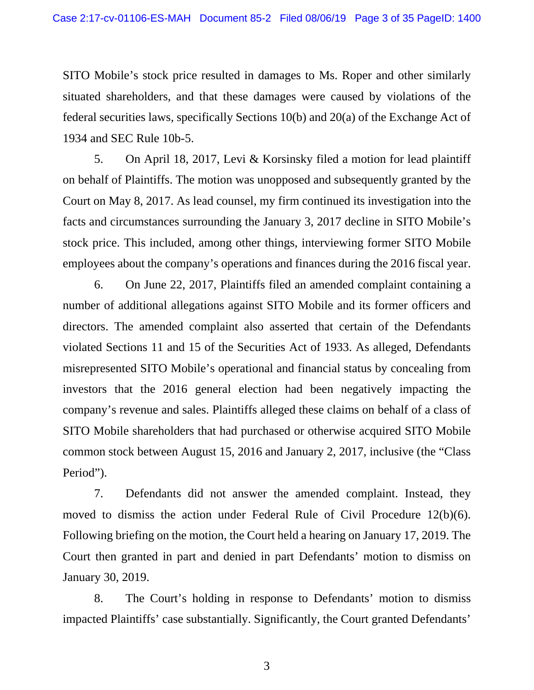SITO Mobile's stock price resulted in damages to Ms. Roper and other similarly situated shareholders, and that these damages were caused by violations of the federal securities laws, specifically Sections 10(b) and 20(a) of the Exchange Act of 1934 and SEC Rule 10b-5.

5. On April 18, 2017, Levi & Korsinsky filed a motion for lead plaintiff on behalf of Plaintiffs. The motion was unopposed and subsequently granted by the Court on May 8, 2017. As lead counsel, my firm continued its investigation into the facts and circumstances surrounding the January 3, 2017 decline in SITO Mobile's stock price. This included, among other things, interviewing former SITO Mobile employees about the company's operations and finances during the 2016 fiscal year.

6. On June 22, 2017, Plaintiffs filed an amended complaint containing a number of additional allegations against SITO Mobile and its former officers and directors. The amended complaint also asserted that certain of the Defendants violated Sections 11 and 15 of the Securities Act of 1933. As alleged, Defendants misrepresented SITO Mobile's operational and financial status by concealing from investors that the 2016 general election had been negatively impacting the company's revenue and sales. Plaintiffs alleged these claims on behalf of a class of SITO Mobile shareholders that had purchased or otherwise acquired SITO Mobile common stock between August 15, 2016 and January 2, 2017, inclusive (the "Class Period").

7. Defendants did not answer the amended complaint. Instead, they moved to dismiss the action under Federal Rule of Civil Procedure 12(b)(6). Following briefing on the motion, the Court held a hearing on January 17, 2019. The Court then granted in part and denied in part Defendants' motion to dismiss on January 30, 2019.

8. The Court's holding in response to Defendants' motion to dismiss impacted Plaintiffs' case substantially. Significantly, the Court granted Defendants'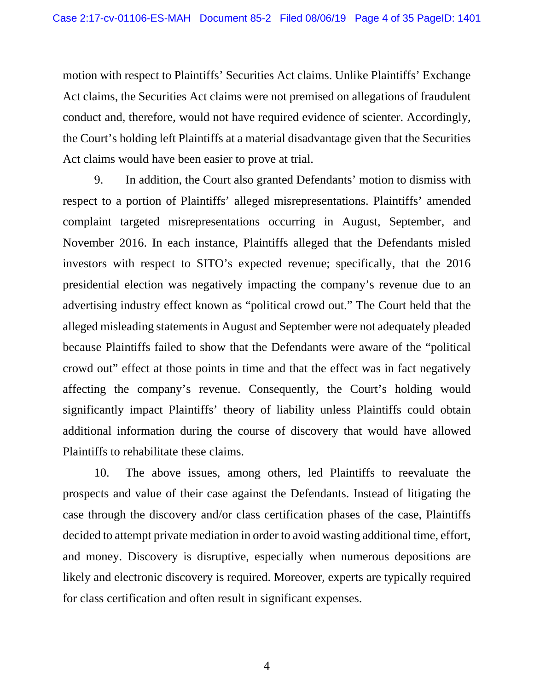motion with respect to Plaintiffs' Securities Act claims. Unlike Plaintiffs' Exchange Act claims, the Securities Act claims were not premised on allegations of fraudulent conduct and, therefore, would not have required evidence of scienter. Accordingly, the Court's holding left Plaintiffs at a material disadvantage given that the Securities Act claims would have been easier to prove at trial.

9. In addition, the Court also granted Defendants' motion to dismiss with respect to a portion of Plaintiffs' alleged misrepresentations. Plaintiffs' amended complaint targeted misrepresentations occurring in August, September, and November 2016. In each instance, Plaintiffs alleged that the Defendants misled investors with respect to SITO's expected revenue; specifically, that the 2016 presidential election was negatively impacting the company's revenue due to an advertising industry effect known as "political crowd out." The Court held that the alleged misleading statements in August and September were not adequately pleaded because Plaintiffs failed to show that the Defendants were aware of the "political crowd out" effect at those points in time and that the effect was in fact negatively affecting the company's revenue. Consequently, the Court's holding would significantly impact Plaintiffs' theory of liability unless Plaintiffs could obtain additional information during the course of discovery that would have allowed Plaintiffs to rehabilitate these claims.

10. The above issues, among others, led Plaintiffs to reevaluate the prospects and value of their case against the Defendants. Instead of litigating the case through the discovery and/or class certification phases of the case, Plaintiffs decided to attempt private mediation in order to avoid wasting additional time, effort, and money. Discovery is disruptive, especially when numerous depositions are likely and electronic discovery is required. Moreover, experts are typically required for class certification and often result in significant expenses.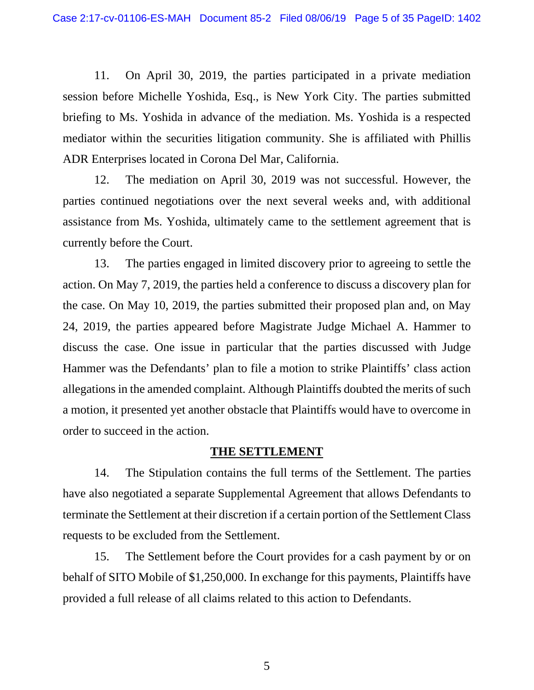11. On April 30, 2019, the parties participated in a private mediation session before Michelle Yoshida, Esq., is New York City. The parties submitted briefing to Ms. Yoshida in advance of the mediation. Ms. Yoshida is a respected mediator within the securities litigation community. She is affiliated with Phillis ADR Enterprises located in Corona Del Mar, California.

12. The mediation on April 30, 2019 was not successful. However, the parties continued negotiations over the next several weeks and, with additional assistance from Ms. Yoshida, ultimately came to the settlement agreement that is currently before the Court.

13. The parties engaged in limited discovery prior to agreeing to settle the action. On May 7, 2019, the parties held a conference to discuss a discovery plan for the case. On May 10, 2019, the parties submitted their proposed plan and, on May 24, 2019, the parties appeared before Magistrate Judge Michael A. Hammer to discuss the case. One issue in particular that the parties discussed with Judge Hammer was the Defendants' plan to file a motion to strike Plaintiffs' class action allegations in the amended complaint. Although Plaintiffs doubted the merits of such a motion, it presented yet another obstacle that Plaintiffs would have to overcome in order to succeed in the action.

### **THE SETTLEMENT**

14. The Stipulation contains the full terms of the Settlement. The parties have also negotiated a separate Supplemental Agreement that allows Defendants to terminate the Settlement at their discretion if a certain portion of the Settlement Class requests to be excluded from the Settlement.

15. The Settlement before the Court provides for a cash payment by or on behalf of SITO Mobile of \$1,250,000. In exchange for this payments, Plaintiffs have provided a full release of all claims related to this action to Defendants.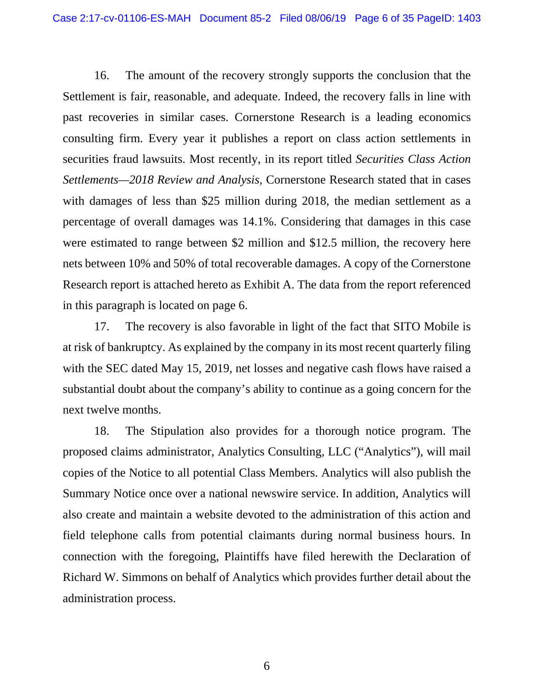16. The amount of the recovery strongly supports the conclusion that the Settlement is fair, reasonable, and adequate. Indeed, the recovery falls in line with past recoveries in similar cases. Cornerstone Research is a leading economics consulting firm. Every year it publishes a report on class action settlements in securities fraud lawsuits. Most recently, in its report titled *Securities Class Action Settlements—2018 Review and Analysis*, Cornerstone Research stated that in cases with damages of less than \$25 million during 2018, the median settlement as a percentage of overall damages was 14.1%. Considering that damages in this case were estimated to range between \$2 million and \$12.5 million, the recovery here nets between 10% and 50% of total recoverable damages. A copy of the Cornerstone Research report is attached hereto as Exhibit A. The data from the report referenced in this paragraph is located on page 6.

17. The recovery is also favorable in light of the fact that SITO Mobile is at risk of bankruptcy. As explained by the company in its most recent quarterly filing with the SEC dated May 15, 2019, net losses and negative cash flows have raised a substantial doubt about the company's ability to continue as a going concern for the next twelve months.

18. The Stipulation also provides for a thorough notice program. The proposed claims administrator, Analytics Consulting, LLC ("Analytics"), will mail copies of the Notice to all potential Class Members. Analytics will also publish the Summary Notice once over a national newswire service. In addition, Analytics will also create and maintain a website devoted to the administration of this action and field telephone calls from potential claimants during normal business hours. In connection with the foregoing, Plaintiffs have filed herewith the Declaration of Richard W. Simmons on behalf of Analytics which provides further detail about the administration process.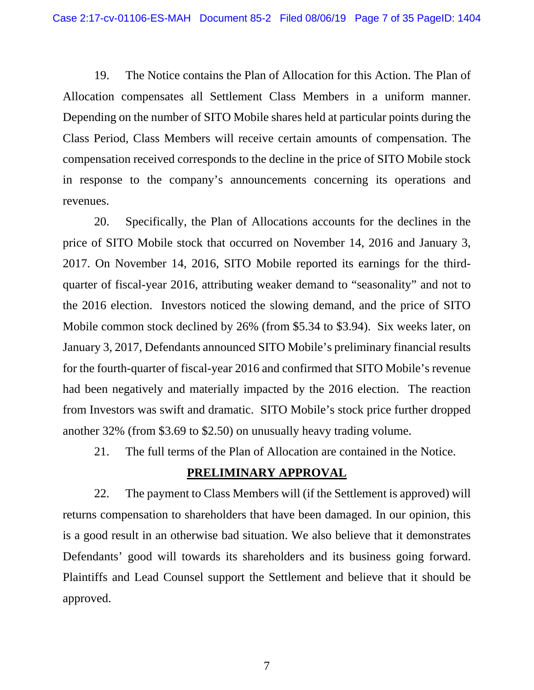19. The Notice contains the Plan of Allocation for this Action. The Plan of Allocation compensates all Settlement Class Members in a uniform manner. Depending on the number of SITO Mobile shares held at particular points during the Class Period, Class Members will receive certain amounts of compensation. The compensation received corresponds to the decline in the price of SITO Mobile stock in response to the company's announcements concerning its operations and revenues.

20. Specifically, the Plan of Allocations accounts for the declines in the price of SITO Mobile stock that occurred on November 14, 2016 and January 3, 2017. On November 14, 2016, SITO Mobile reported its earnings for the thirdquarter of fiscal-year 2016, attributing weaker demand to "seasonality" and not to the 2016 election. Investors noticed the slowing demand, and the price of SITO Mobile common stock declined by 26% (from \$5.34 to \$3.94). Six weeks later, on January 3, 2017, Defendants announced SITO Mobile's preliminary financial results for the fourth-quarter of fiscal-year 2016 and confirmed that SITO Mobile's revenue had been negatively and materially impacted by the 2016 election. The reaction from Investors was swift and dramatic. SITO Mobile's stock price further dropped another 32% (from \$3.69 to \$2.50) on unusually heavy trading volume.

21. The full terms of the Plan of Allocation are contained in the Notice.

### **PRELIMINARY APPROVAL**

22. The payment to Class Members will (if the Settlement is approved) will returns compensation to shareholders that have been damaged. In our opinion, this is a good result in an otherwise bad situation. We also believe that it demonstrates Defendants' good will towards its shareholders and its business going forward. Plaintiffs and Lead Counsel support the Settlement and believe that it should be approved.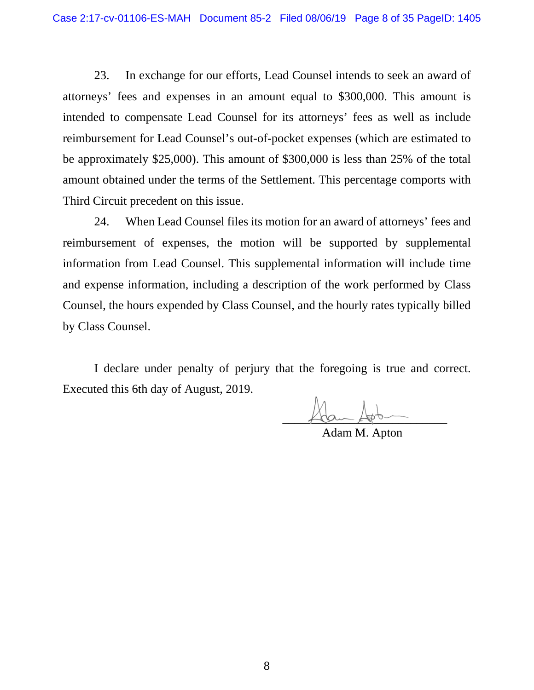23. In exchange for our efforts, Lead Counsel intends to seek an award of attorneys' fees and expenses in an amount equal to \$300,000. This amount is intended to compensate Lead Counsel for its attorneys' fees as well as include reimbursement for Lead Counsel's out-of-pocket expenses (which are estimated to be approximately \$25,000). This amount of \$300,000 is less than 25% of the total amount obtained under the terms of the Settlement. This percentage comports with Third Circuit precedent on this issue.

24. When Lead Counsel files its motion for an award of attorneys' fees and reimbursement of expenses, the motion will be supported by supplemental information from Lead Counsel. This supplemental information will include time and expense information, including a description of the work performed by Class Counsel, the hours expended by Class Counsel, and the hourly rates typically billed by Class Counsel.

I declare under penalty of perjury that the foregoing is true and correct. Executed this 6th day of August, 2019.

 $\sqrt{100}-\sqrt{100}-\sqrt{100}-\sqrt{100}-\sqrt{100}-\sqrt{100}-\sqrt{100}-\sqrt{100}-\sqrt{100}-\sqrt{100}-\sqrt{100}-\sqrt{100}-\sqrt{100}-\sqrt{100}-\sqrt{100}-\sqrt{100}-\sqrt{100}-\sqrt{100}-\sqrt{100}-\sqrt{100}-\sqrt{100}-\sqrt{100}-\sqrt{100}-\sqrt{100}-\sqrt{100}-\sqrt{100}-\sqrt{100}-\sqrt{100}-\sqrt{100}-\sqrt{100}-\sqrt{100}-\sqrt{$ 

Adam M. Apton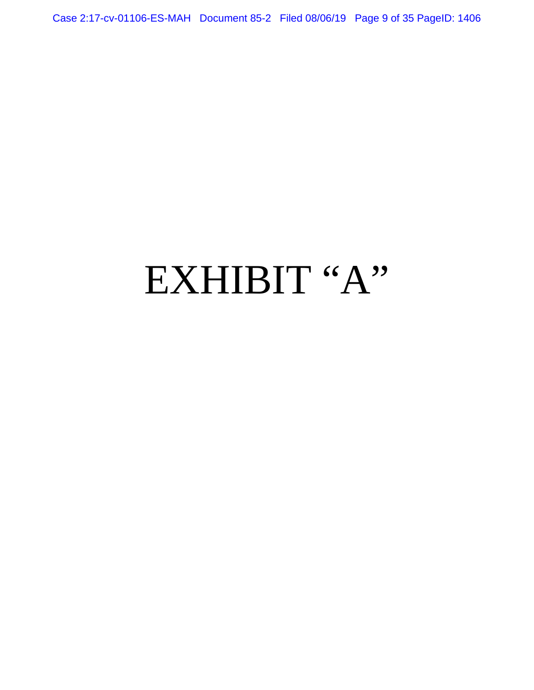Case 2:17-cv-01106-ES-MAH Document 85-2 Filed 08/06/19 Page 9 of 35 PageID: 1406

# EXHIBIT "A"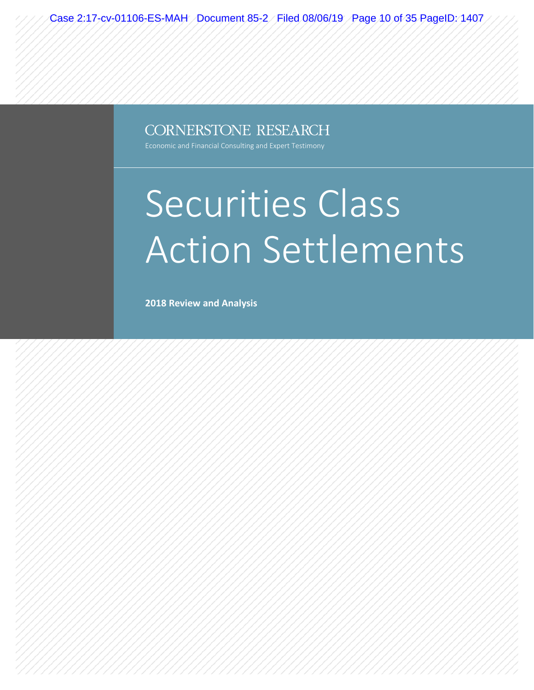Case 2:17-cv-01106-ES-MAH Document 85-2 Filed 08/06/19 Page 10 of 35 PageID: 1407

### **CORNERSTONE RESEARCH**

Economic and Financial Consulting and Expert Testimony

# Securities Class Action Settlements

**2018 Review and Analysis**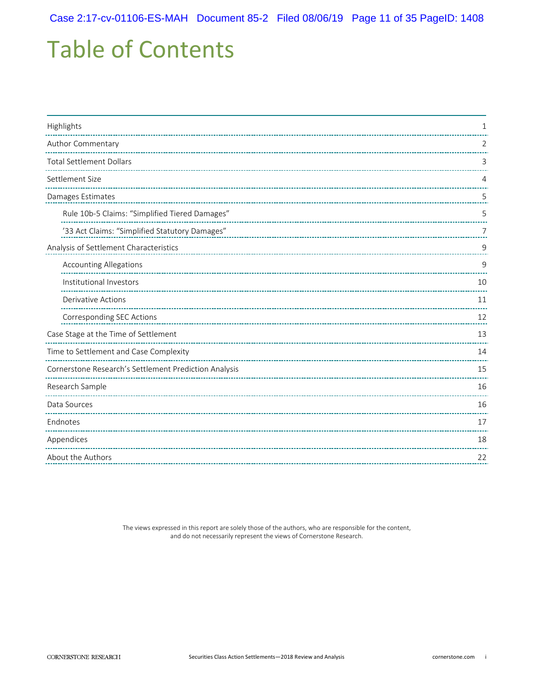# Table of Contents

| Highlights                                            | 1              |  |
|-------------------------------------------------------|----------------|--|
| Author Commentary                                     | 2              |  |
| <b>Total Settlement Dollars</b>                       | 3              |  |
| Settlement Size                                       | 4              |  |
| Damages Estimates                                     | 5              |  |
| Rule 10b-5 Claims: "Simplified Tiered Damages"        | 5              |  |
| '33 Act Claims: "Simplified Statutory Damages"        | $\overline{7}$ |  |
| Analysis of Settlement Characteristics                | 9              |  |
| <b>Accounting Allegations</b>                         | 9              |  |
| Institutional Investors                               | 10             |  |
| <b>Derivative Actions</b>                             | 11             |  |
| Corresponding SEC Actions                             | 12             |  |
| Case Stage at the Time of Settlement                  | 13             |  |
| Time to Settlement and Case Complexity                | 14             |  |
| Cornerstone Research's Settlement Prediction Analysis | 15             |  |
| Research Sample                                       | 16             |  |
| Data Sources                                          |                |  |
| Endnotes                                              | 17             |  |
| Appendices                                            | 18             |  |
| About the Authors                                     | 22             |  |
|                                                       |                |  |

The views expressed in this report are solely those of the authors, who are responsible for the content, and do not necessarily represent the views of Cornerstone Research.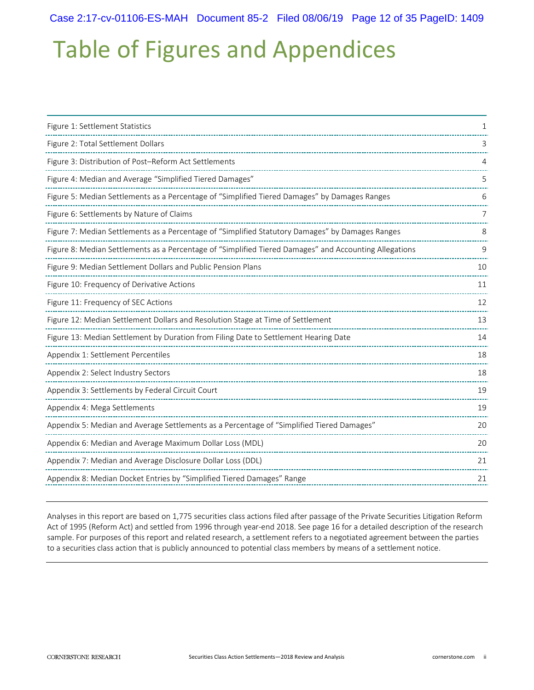# Table of Figures and Appendices

| Figure 1: Settlement Statistics                                                                        |    |
|--------------------------------------------------------------------------------------------------------|----|
| Figure 2: Total Settlement Dollars                                                                     |    |
| Figure 3: Distribution of Post-Reform Act Settlements                                                  |    |
| Figure 4: Median and Average "Simplified Tiered Damages"                                               | 5  |
| Figure 5: Median Settlements as a Percentage of "Simplified Tiered Damages" by Damages Ranges          | 6  |
| Figure 6: Settlements by Nature of Claims                                                              | 7  |
| Figure 7: Median Settlements as a Percentage of "Simplified Statutory Damages" by Damages Ranges       | 8  |
| Figure 8: Median Settlements as a Percentage of "Simplified Tiered Damages" and Accounting Allegations | 9  |
| Figure 9: Median Settlement Dollars and Public Pension Plans                                           | 10 |
| Figure 10: Frequency of Derivative Actions                                                             | 11 |
| Figure 11: Frequency of SEC Actions                                                                    | 12 |
| Figure 12: Median Settlement Dollars and Resolution Stage at Time of Settlement                        | 13 |
| Figure 13: Median Settlement by Duration from Filing Date to Settlement Hearing Date                   | 14 |
| Appendix 1: Settlement Percentiles                                                                     | 18 |
| Appendix 2: Select Industry Sectors                                                                    | 18 |
| Appendix 3: Settlements by Federal Circuit Court                                                       | 19 |
| Appendix 4: Mega Settlements                                                                           | 19 |
| Appendix 5: Median and Average Settlements as a Percentage of "Simplified Tiered Damages"              | 20 |
| Appendix 6: Median and Average Maximum Dollar Loss (MDL)                                               | 20 |
| Appendix 7: Median and Average Disclosure Dollar Loss (DDL)                                            | 21 |
| Appendix 8: Median Docket Entries by "Simplified Tiered Damages" Range                                 | 21 |
|                                                                                                        |    |

Analyses in this report are based on 1,775 securities class actions filed after passage of the Private Securities Litigation Reform Act of 1995 (Reform Act) and settled from 1996 through year-end 2018. See page 16 for a detailed description of the research sample. For purposes of this report and related research, a settlement refers to a negotiated agreement between the parties to a securities class action that is publicly announced to potential class members by means of a settlement notice.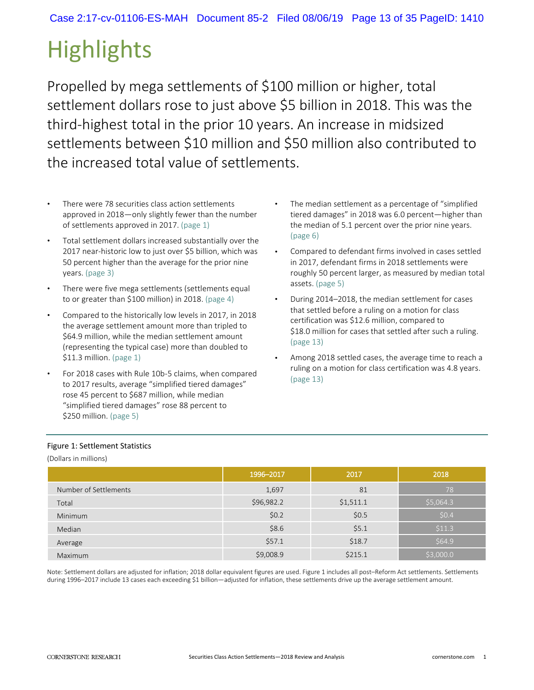# **Highlights**

Propelled by mega settlements of \$100 million or higher, total settlement dollars rose to just above \$5 billion in 2018. This was the third-highest total in the prior 10 years. An increase in midsized settlements between \$10 million and \$50 million also contributed to the increased total value of settlements.

- There were 78 securities class action settlements approved in 2018—only slightly fewer than the number of settlements approved in 2017. (page 1)
- Total settlement dollars increased substantially over the 2017 near-historic low to just over \$5 billion, which was 50 percent higher than the average for the prior nine years. (page 3)
- There were five mega settlements (settlements equal to or greater than \$100 million) in 2018. (page 4)
- Compared to the historically low levels in 2017, in 2018 the average settlement amount more than tripled to \$64.9 million, while the median settlement amount (representing the typical case) more than doubled to \$11.3 million. (page 1)
- For 2018 cases with Rule 10b-5 claims, when compared to 2017 results, average "simplified tiered damages" rose 45 percent to \$687 million, while median "simplified tiered damages" rose 88 percent to \$250 million. (page 5)
- The median settlement as a percentage of "simplified tiered damages" in 2018 was 6.0 percent—higher than the median of 5.1 percent over the prior nine years. (page 6)
- Compared to defendant firms involved in cases settled in 2017, defendant firms in 2018 settlements were roughly 50 percent larger, as measured by median total assets. (page 5)
- During 2014–2018, the median settlement for cases that settled before a ruling on a motion for class certification was \$12.6 million, compared to \$18.0 million for cases that settled after such a ruling. (page 13)
- Among 2018 settled cases, the average time to reach a ruling on a motion for class certification was 4.8 years. (page 13)

#### Figure 1: Settlement Statistics

(Dollars in millions)

|                       | 1996-2017  | 2017      | 2018      |
|-----------------------|------------|-----------|-----------|
| Number of Settlements | 1,697      | 81        | 78        |
| Total                 | \$96,982.2 | \$1,511.1 | \$5,064.3 |
| Minimum               | \$0.2      | \$0.5     | \$0.4     |
| Median                | \$8.6      | \$5.1     | \$11.3    |
| Average               | \$57.1     | \$18.7    | \$64.9    |
| Maximum               | \$9,008.9  | \$215.1   | \$3,000.0 |

Note: Settlement dollars are adjusted for inflation; 2018 dollar equivalent figures are used. Figure 1 includes all post–Reform Act settlements. Settlements during 1996–2017 include 13 cases each exceeding \$1 billion—adjusted for inflation, these settlements drive up the average settlement amount.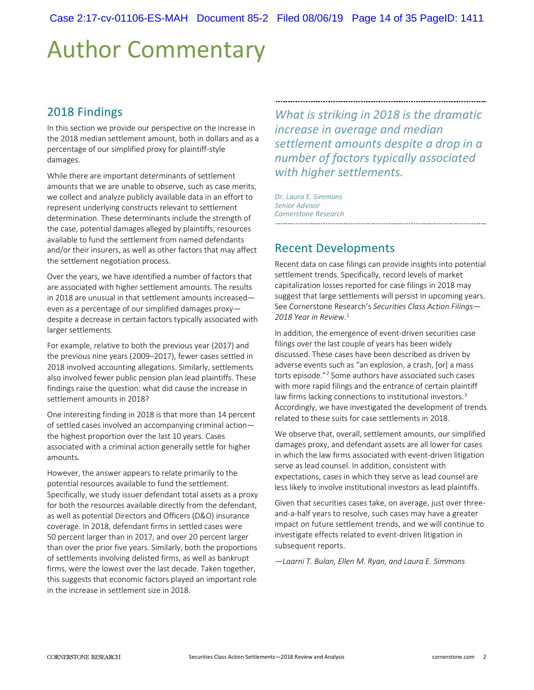# Author Commentary

### 2018 Findings

In this section we provide our perspective on the increase in the 2018 median settlement amount, both in dollars and as a percentage of our simplified proxy for plaintiff-style damages.

While there are important determinants of settlement amounts that we are unable to observe, such as case merits, we collect and analyze publicly available data in an effort to represent underlying constructs relevant to settlement determination. These determinants include the strength of the case, potential damages alleged by plaintiffs, resources available to fund the settlement from named defendants and/or their insurers, as well as other factors that may affect the settlement negotiation process.

Over the years, we have identified a number of factors that are associated with higher settlement amounts. The results in 2018 are unusual in that settlement amounts increased even as a percentage of our simplified damages proxy despite a decrease in certain factors typically associated with larger settlements.

For example, relative to both the previous year (2017) and the previous nine years (2009–2017), fewer cases settled in 2018 involved accounting allegations. Similarly, settlements also involved fewer public pension plan lead plaintiffs. These findings raise the question: what did cause the increase in settlement amounts in 2018?

One interesting finding in 2018 is that more than 14 percent of settled cases involved an accompanying criminal action the highest proportion over the last 10 years. Cases associated with a criminal action generally settle for higher amounts*.*

However, the answer appears to relate primarily to the potential resources available to fund the settlement. Specifically, we study issuer defendant total assets as a proxy for both the resources available directly from the defendant, as well as potential Directors and Officers (D&O) insurance coverage. In 2018, defendant firms in settled cases were 50 percent larger than in 2017, and over 20 percent larger than over the prior five years. Similarly, both the proportions of settlements involving delisted firms, as well as bankrupt firms, were the lowest over the last decade. Taken together, this suggests that economic factors played an important role in the increase in settlement size in 2018.

*What is striking in 2018 is the dramatic increase in average and median settlement amounts despite a drop in a number of factors typically associated with higher settlements.*

*Dr. Laura E. Simmons Senior Advisor Cornerstone Research* 

## Recent Developments

Recent data on case filings can provide insights into potential settlement trends. Specifically, record levels of market capitalization losses reported for case filings in 2018 may suggest that large settlements will persist in upcoming years. See Cornerstone Research's *Securities Class Action Filings— 2018 Year in Review*. 1

In addition, the emergence of event-driven securities case filings over the last couple of years has been widely discussed. These cases have been described as driven by adverse events such as "an explosion, a crash, [or] a mass torts episode."2 Some authors have associated such cases with more rapid filings and the entrance of certain plaintiff law firms lacking connections to institutional investors.<sup>3</sup> Accordingly, we have investigated the development of trends related to these suits for case settlements in 2018.

We observe that, overall, settlement amounts, our simplified damages proxy, and defendant assets are all lower for cases in which the law firms associated with event-driven litigation serve as lead counsel. In addition, consistent with expectations, cases in which they serve as lead counsel are less likely to involve institutional investors as lead plaintiffs.

Given that securities cases take, on average, just over threeand-a-half years to resolve, such cases may have a greater impact on future settlement trends, and we will continue to investigate effects related to event-driven litigation in subsequent reports.

*—Laarni T. Bulan, Ellen M. Ryan, and Laura E. Simmons*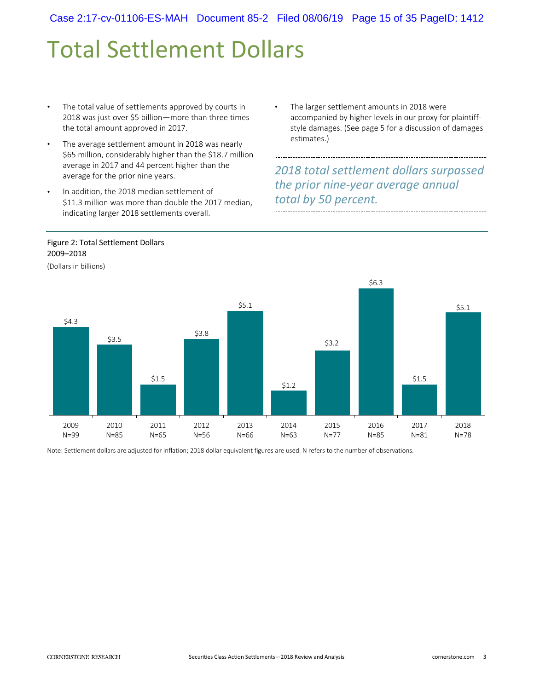# Total Settlement Dollars

- The total value of settlements approved by courts in 2018 was just over \$5 billion—more than three times the total amount approved in 2017.
- The average settlement amount in 2018 was nearly \$65 million, considerably higher than the \$18.7 million average in 2017 and 44 percent higher than the average for the prior nine years.
- In addition, the 2018 median settlement of \$11.3 million was more than double the 2017 median, indicating larger 2018 settlements overall.
- Figure 2: Total Settlement Dollars 2009–2018

(Dollars in billions)

The larger settlement amounts in 2018 were accompanied by higher levels in our proxy for plaintiffstyle damages. (See page 5 for a discussion of damages estimates.)

*2018 total settlement dollars surpassed the prior nine-year average annual total by 50 percent.*



Note: Settlement dollars are adjusted for inflation; 2018 dollar equivalent figures are used. N refers to the number of observations.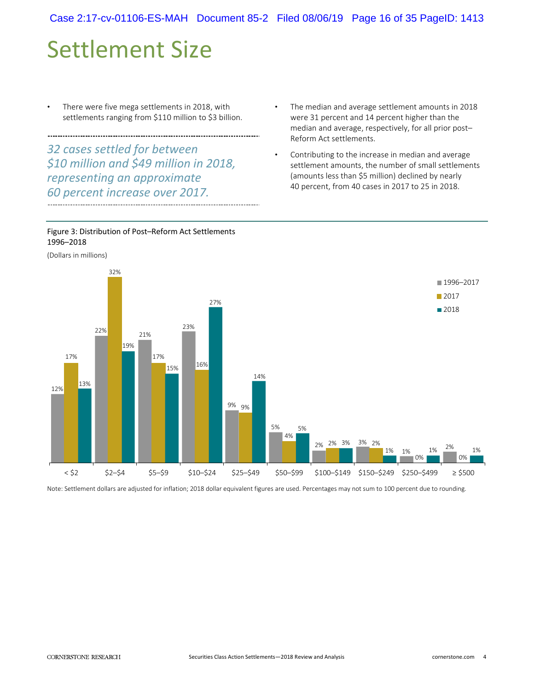# Settlement Size

There were five mega settlements in 2018, with settlements ranging from \$110 million to \$3 billion.

*32 cases settled for between \$10 million and \$49 million in 2018, representing an approximate 60 percent increase over 2017.*

- The median and average settlement amounts in 2018 were 31 percent and 14 percent higher than the median and average, respectively, for all prior post– Reform Act settlements.
- Contributing to the increase in median and average settlement amounts, the number of small settlements (amounts less than \$5 million) declined by nearly 40 percent, from 40 cases in 2017 to 25 in 2018.



(Dollars in millions)



Note: Settlement dollars are adjusted for inflation; 2018 dollar equivalent figures are used. Percentages may not sum to 100 percent due to rounding.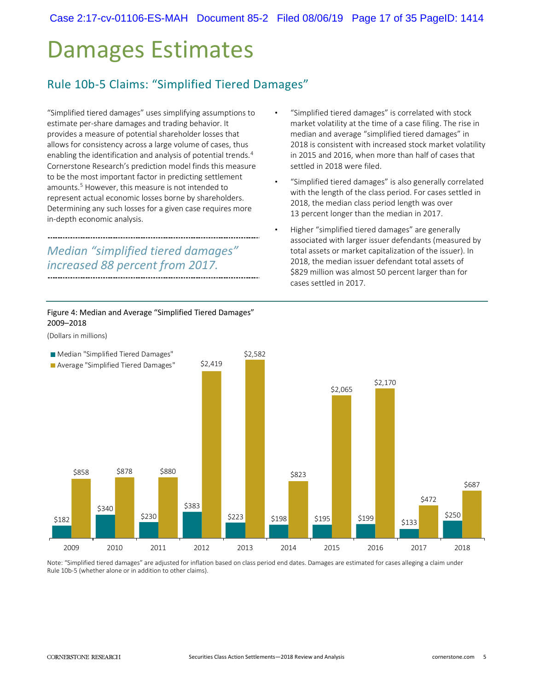Case 2:17-cv-01106-ES-MAH Document 85-2 Filed 08/06/19 Page 17 of 35 PageID: 1414

• "Simplified tiered damages" is correlated with stock market volatility at the time of a case filing. The rise in median and average "simplified tiered damages" in 2018 is consistent with increased stock market volatility in 2015 and 2016, when more than half of cases that

• "Simplified tiered damages" is also generally correlated with the length of the class period. For cases settled in

2018, the median class period length was over 13 percent longer than the median in 2017.

• Higher "simplified tiered damages" are generally associated with larger issuer defendants (measured by total assets or market capitalization of the issuer). In 2018, the median issuer defendant total assets of \$829 million was almost 50 percent larger than for

settled in 2018 were filed.

cases settled in 2017.

# Damages Estimates

### Rule 10b-5 Claims: "Simplified Tiered Damages"

"Simplified tiered damages" uses simplifying assumptions to estimate per-share damages and trading behavior. It provides a measure of potential shareholder losses that allows for consistency across a large volume of cases, thus enabling the identification and analysis of potential trends.<sup>4</sup> Cornerstone Research's prediction model finds this measure to be the most important factor in predicting settlement amounts. 5 However, this measure is not intended to represent actual economic losses borne by shareholders. Determining any such losses for a given case requires more in-depth economic analysis.

#### *Median "simplified tiered damages" increased 88 percent from 2017.*

Figure 4: Median and Average "Simplified Tiered Damages" 2009–2018



Note: "Simplified tiered damages" are adjusted for inflation based on class period end dates. Damages are estimated for cases alleging a claim under Rule 10b-5 (whether alone or in addition to other claims).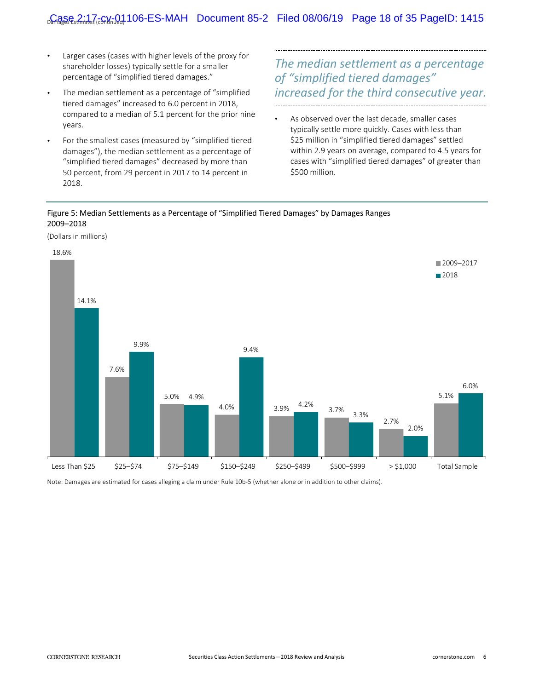- Larger cases (cases with higher levels of the proxy for shareholder losses) typically settle for a smaller percentage of "simplified tiered damages."
- The median settlement as a percentage of "simplified" tiered damages" increased to 6.0 percent in 2018, compared to a median of 5.1 percent for the prior nine years.
- For the smallest cases (measured by "simplified tiered damages"), the median settlement as a percentage of "simplified tiered damages" decreased by more than 50 percent, from 29 percent in 2017 to 14 percent in 2018.

### *The median settlement as a percentage of "simplified tiered damages" increased for the third consecutive year.*

As observed over the last decade, smaller cases typically settle more quickly. Cases with less than \$25 million in "simplified tiered damages" settled within 2.9 years on average, compared to 4.5 years for cases with "simplified tiered damages" of greater than \$500 million.

#### Figure 5: Median Settlements as a Percentage of "Simplified Tiered Damages" by Damages Ranges  2009–2018



Note: Damages are estimated for cases alleging a claim under Rule 10b-5 (whether alone or in addition to other claims).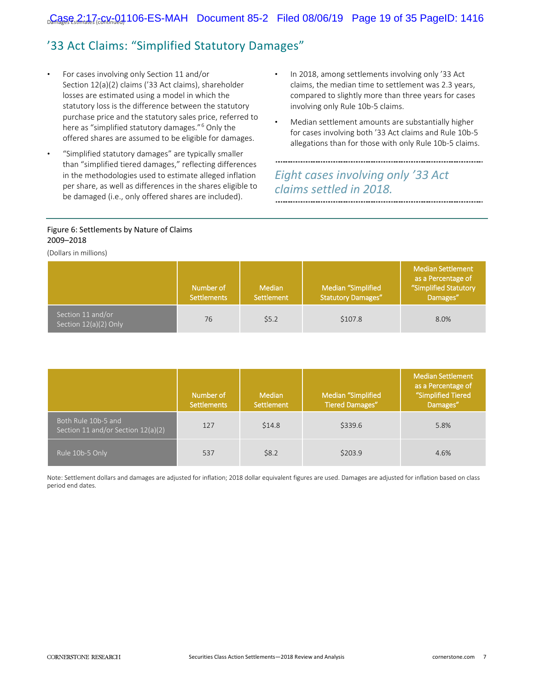## '33 Act Claims: "Simplified Statutory Damages"

- For cases involving only Section 11 and/or Section 12(a)(2) claims ('33 Act claims), shareholder losses are estimated using a model in which the statutory loss is the difference between the statutory purchase price and the statutory sales price, referred to here as "simplified statutory damages."<sup>6</sup> Only the offered shares are assumed to be eligible for damages.
- "Simplified statutory damages" are typically smaller than "simplified tiered damages," reflecting differences in the methodologies used to estimate alleged inflation per share, as well as differences in the shares eligible to be damaged (i.e., only offered shares are included).
- In 2018, among settlements involving only '33 Act claims, the median time to settlement was 2.3 years, compared to slightly more than three years for cases involving only Rule 10b-5 claims.
- Median settlement amounts are substantially higher for cases involving both '33 Act claims and Rule 10b-5 allegations than for those with only Rule 10b-5 claims.

### *Eight cases involving only '33 Act claims settled in 2018.*

#### Figure 6: Settlements by Nature of Claims 2009–2018

(Dollars in millions)

|                                              | Number of<br><b>Settlements</b> | Median<br>Settlement | Median "Simplified<br><b>Statutory Damages"</b> | <b>Median Settlement</b><br>as a Percentage of<br>"Simplified Statutory<br>Damages" |
|----------------------------------------------|---------------------------------|----------------------|-------------------------------------------------|-------------------------------------------------------------------------------------|
| Section 11 and/or<br>Section $12(a)(2)$ Only | 76                              | \$5.2                | \$107.8                                         | 8.0%                                                                                |

|                                                           | Number of<br><b>Settlements</b> | <b>Median</b><br>Settlement | Median "Simplified<br><b>Tiered Damages"</b> | <b>Median Settlement</b><br>as a Percentage of<br>"Simplified Tiered<br>Damages" |
|-----------------------------------------------------------|---------------------------------|-----------------------------|----------------------------------------------|----------------------------------------------------------------------------------|
| Both Rule 10b-5 and<br>Section 11 and/or Section 12(a)(2) | 127                             | \$14.8                      | \$339.6                                      | 5.8%                                                                             |
| Rule 10b-5 Only                                           | 537                             | \$8.2                       | \$203.9                                      | 4.6%                                                                             |

Note: Settlement dollars and damages are adjusted for inflation; 2018 dollar equivalent figures are used. Damages are adjusted for inflation based on class period end dates.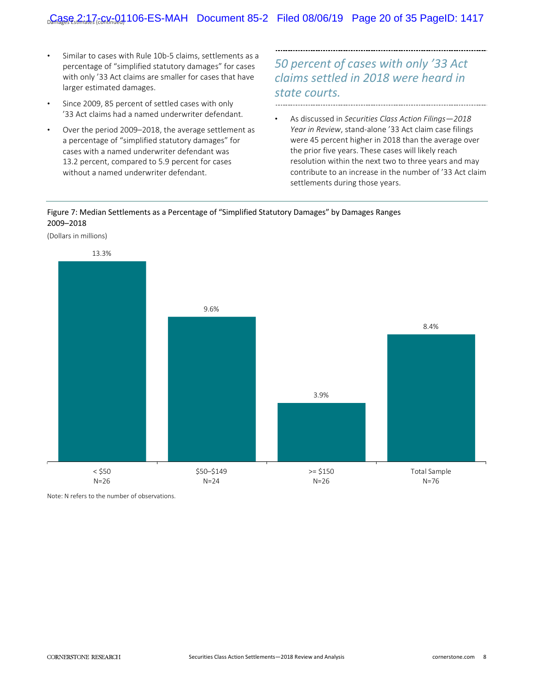- Similar to cases with Rule 10b-5 claims, settlements as a percentage of "simplified statutory damages" for cases with only '33 Act claims are smaller for cases that have larger estimated damages.
- Since 2009, 85 percent of settled cases with only '33 Act claims had a named underwriter defendant.
- Over the period 2009-2018, the average settlement as a percentage of "simplified statutory damages" for cases with a named underwriter defendant was 13.2 percent, compared to 5.9 percent for cases without a named underwriter defendant.

# *50 percent of cases with only '33 Act claims settled in 2018 were heard in state courts.*

• As discussed in *Securities Class Action Filings—2018 Year in Review*, stand-alone '33 Act claim case filings were 45 percent higher in 2018 than the average over the prior five years. These cases will likely reach resolution within the next two to three years and may contribute to an increase in the number of '33 Act claim settlements during those years.

#### Figure 7: Median Settlements as a Percentage of "Simplified Statutory Damages" by Damages Ranges  2009–2018



Note: N refers to the number of observations.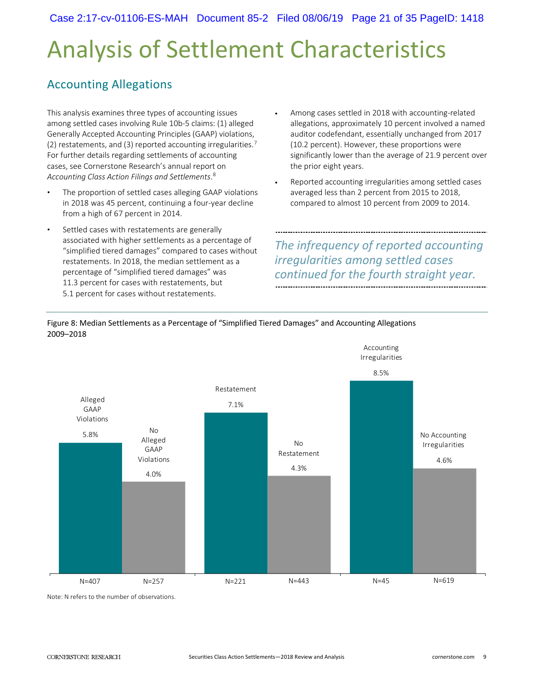# Analysis of Settlement Characteristics

### Accounting Allegations

This analysis examines three types of accounting issues among settled cases involving Rule 10b-5 claims: (1) alleged Generally Accepted Accounting Principles (GAAP) violations, (2) restatements, and (3) reported accounting irregularities.<sup>7</sup> For further details regarding settlements of accounting cases, see Cornerstone Research's annual report on *Accounting Class Action Filings and Settlements*. 8

- The proportion of settled cases alleging GAAP violations in 2018 was 45 percent, continuing a four-year decline from a high of 67 percent in 2014.
- Settled cases with restatements are generally associated with higher settlements as a percentage of "simplified tiered damages" compared to cases without restatements. In 2018, the median settlement as a percentage of "simplified tiered damages" was 11.3 percent for cases with restatements, but 5.1 percent for cases without restatements.
- Among cases settled in 2018 with accounting-related allegations, approximately 10 percent involved a named auditor codefendant, essentially unchanged from 2017 (10.2 percent). However, these proportions were significantly lower than the average of 21.9 percent over the prior eight years.
- Reported accounting irregularities among settled cases averaged less than 2 percent from 2015 to 2018, compared to almost 10 percent from 2009 to 2014.

*The infrequency of reported accounting irregularities among settled cases continued for the fourth straight year.* 

Accounting



Figure 8: Median Settlements as a Percentage of "Simplified Tiered Damages" and Accounting Allegations 2009–2018

Note: N refers to the number of observations.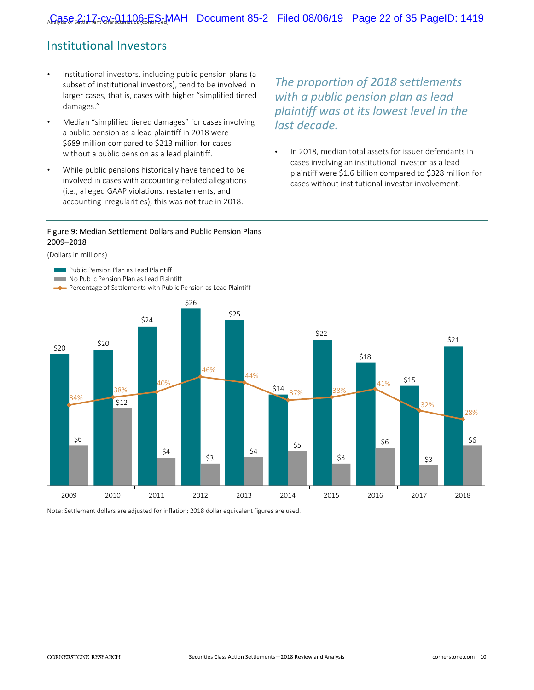### Institutional Investors

- Institutional investors, including public pension plans (a subset of institutional investors), tend to be involved in larger cases, that is, cases with higher "simplified tiered damages."
- Median "simplified tiered damages" for cases involving a public pension as a lead plaintiff in 2018 were \$689 million compared to \$213 million for cases without a public pension as a lead plaintiff.
- While public pensions historically have tended to be involved in cases with accounting-related allegations (i.e., alleged GAAP violations, restatements, and accounting irregularities), this was not true in 2018.

*The proportion of 2018 settlements with a public pension plan as lead plaintiff was at its lowest level in the last decade.*

In 2018, median total assets for issuer defendants in cases involving an institutional investor as a lead plaintiff were \$1.6 billion compared to \$328 million for

cases without institutional investor involvement.

#### Figure 9: Median Settlement Dollars and Public Pension Plans 2009–2018

#### (Dollars in millions)



Note: Settlement dollars are adjusted for inflation; 2018 dollar equivalent figures are used.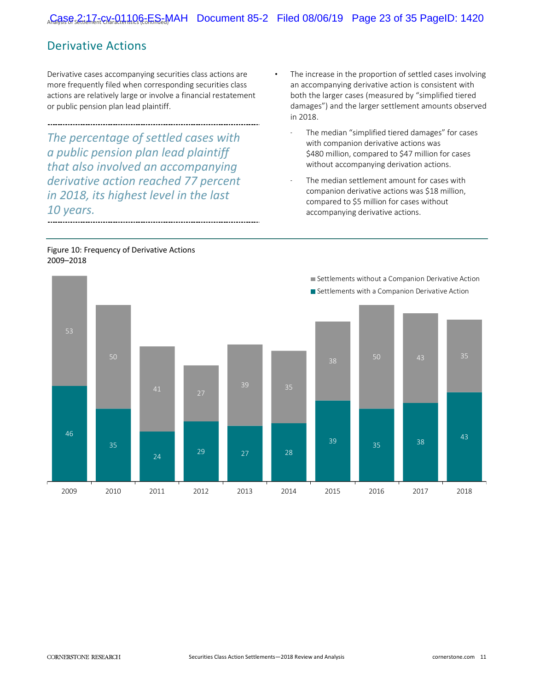------------

### Derivative Actions

Derivative cases accompanying securities class actions are more frequently filed when corresponding securities class actions are relatively large or involve a financial restatement or public pension plan lead plaintiff.

*The percentage of settled cases with a public pension plan lead plaintiff that also involved an accompanying derivative action reached 77 percent in 2018, its highest level in the last 10 years.*

- The increase in the proportion of settled cases involving an accompanying derivative action is consistent with both the larger cases (measured by "simplified tiered damages") and the larger settlement amounts observed in 2018.
	- The median "simplified tiered damages" for cases with companion derivative actions was \$480 million, compared to \$47 million for cases without accompanying derivation actions.
	- The median settlement amount for cases with companion derivative actions was \$18 million, compared to \$5 million for cases without accompanying derivative actions.

#### Figure 10: Frequency of Derivative Actions 2009–2018

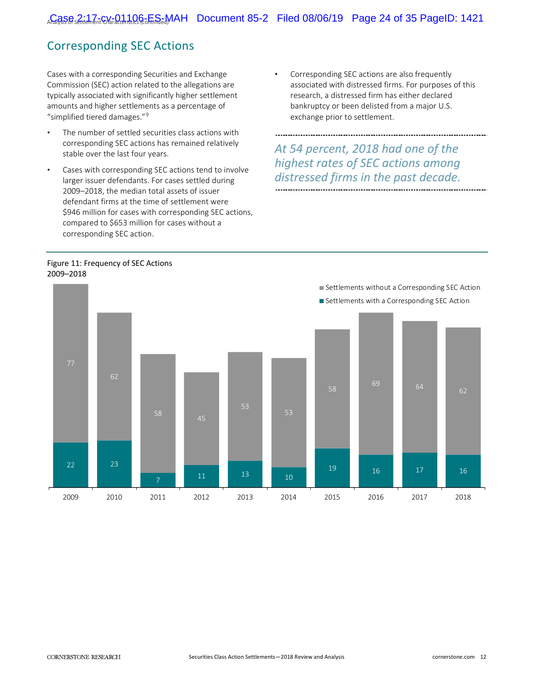### Corresponding SEC Actions

Cases with a corresponding Securities and Exchange Commission (SEC) action related to the allegations are typically associated with significantly higher settlement amounts and higher settlements as a percentage of "simplified tiered damages."9

- The number of settled securities class actions with corresponding SEC actions has remained relatively stable over the last four years.
- Cases with corresponding SEC actions tend to involve larger issuer defendants. For cases settled during 2009–2018, the median total assets of issuer defendant firms at the time of settlement were \$946 million for cases with corresponding SEC actions, compared to \$653 million for cases without a corresponding SEC action.
- Corresponding SEC actions are also frequently associated with distressed firms. For purposes of this research, a distressed firm has either declared bankruptcy or been delisted from a major U.S. exchange prior to settlement.

*At 54 percent, 2018 had one of the highest rates of SEC actions among distressed firms in the past decade.* 

#### Figure 11: Frequency of SEC Actions 2009–2018

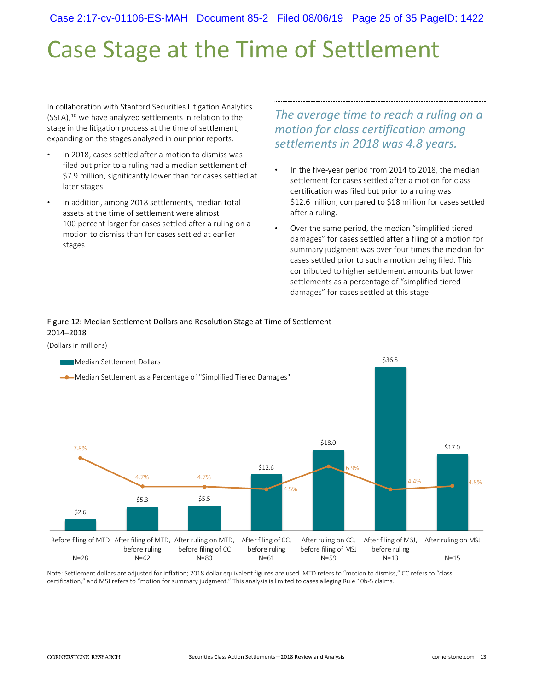Case 2:17-cv-01106-ES-MAH Document 85-2 Filed 08/06/19 Page 25 of 35 PageID: 1422

# Case Stage at the Time of Settlement

In collaboration with Stanford Securities Litigation Analytics  $(SSLA)$ ,<sup>10</sup> we have analyzed settlements in relation to the stage in the litigation process at the time of settlement, expanding on the stages analyzed in our prior reports.

- In 2018, cases settled after a motion to dismiss was filed but prior to a ruling had a median settlement of \$7.9 million, significantly lower than for cases settled at later stages.
- In addition, among 2018 settlements, median total assets at the time of settlement were almost 100 percent larger for cases settled after a ruling on a motion to dismiss than for cases settled at earlier stages.

*The average time to reach a ruling on a motion for class certification among settlements in 2018 was 4.8 years.*  

In the five-year period from 2014 to 2018, the median settlement for cases settled after a motion for class certification was filed but prior to a ruling was \$12.6 million, compared to \$18 million for cases settled after a ruling.

• Over the same period, the median "simplified tiered damages" for cases settled after a filing of a motion for summary judgment was over four times the median for cases settled prior to such a motion being filed. This contributed to higher settlement amounts but lower settlements as a percentage of "simplified tiered damages" for cases settled at this stage.

#### Figure 12: Median Settlement Dollars and Resolution Stage at Time of Settlement 2014–2018

(Dollars in millions)



Note: Settlement dollars are adjusted for inflation; 2018 dollar equivalent figures are used. MTD refers to "motion to dismiss," CC refers to "class certification," and MSJ refers to "motion for summary judgment." This analysis is limited to cases alleging Rule 10b-5 claims.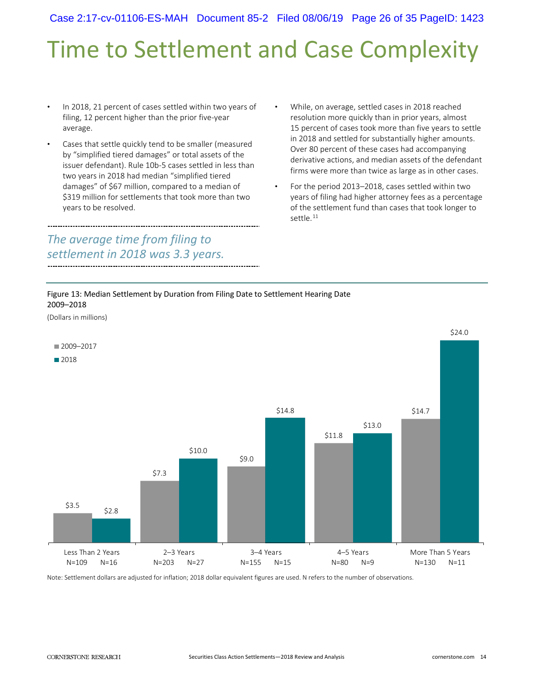Case 2:17-cv-01106-ES-MAH Document 85-2 Filed 08/06/19 Page 26 of 35 PageID: 1423

# Time to Settlement and Case Complexity

- In 2018, 21 percent of cases settled within two years of filing, 12 percent higher than the prior five-year average.
- Cases that settle quickly tend to be smaller (measured by "simplified tiered damages" or total assets of the issuer defendant). Rule 10b-5 cases settled in less than two years in 2018 had median "simplified tiered damages" of \$67 million, compared to a median of \$319 million for settlements that took more than two years to be resolved.

### *The average time from filing to settlement in 2018 was 3.3 years.*

- While, on average, settled cases in 2018 reached resolution more quickly than in prior years, almost 15 percent of cases took more than five years to settle in 2018 and settled for substantially higher amounts. Over 80 percent of these cases had accompanying derivative actions, and median assets of the defendant firms were more than twice as large as in other cases.
- For the period 2013–2018, cases settled within two years of filing had higher attorney fees as a percentage of the settlement fund than cases that took longer to settle. 11

#### Figure 13: Median Settlement by Duration from Filing Date to Settlement Hearing Date 2009–2018



Note: Settlement dollars are adjusted for inflation; 2018 dollar equivalent figures are used. N refers to the number of observations.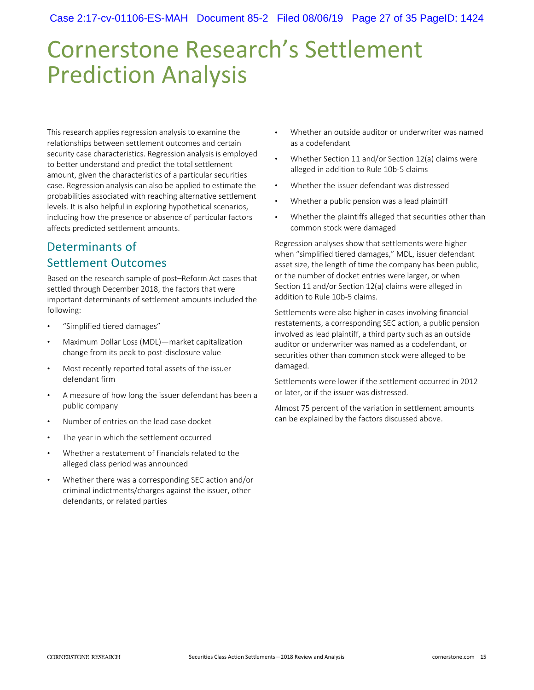# Cornerstone Research's Settlement Prediction Analysis

This research applies regression analysis to examine the relationships between settlement outcomes and certain security case characteristics. Regression analysis is employed to better understand and predict the total settlement amount, given the characteristics of a particular securities case. Regression analysis can also be applied to estimate the probabilities associated with reaching alternative settlement levels. It is also helpful in exploring hypothetical scenarios, including how the presence or absence of particular factors affects predicted settlement amounts.

### Determinants of Settlement Outcomes

Based on the research sample of post–Reform Act cases that settled through December 2018, the factors that were important determinants of settlement amounts included the following:

- "Simplified tiered damages"
- Maximum Dollar Loss (MDL)—market capitalization change from its peak to post-disclosure value
- Most recently reported total assets of the issuer defendant firm
- A measure of how long the issuer defendant has been a public company
- Number of entries on the lead case docket
- The year in which the settlement occurred
- Whether a restatement of financials related to the alleged class period was announced
- Whether there was a corresponding SEC action and/or criminal indictments/charges against the issuer, other defendants, or related parties
- Whether an outside auditor or underwriter was named as a codefendant
- Whether Section 11 and/or Section 12(a) claims were alleged in addition to Rule 10b-5 claims
- Whether the issuer defendant was distressed
- Whether a public pension was a lead plaintiff
- Whether the plaintiffs alleged that securities other than common stock were damaged

Regression analyses show that settlements were higher when "simplified tiered damages," MDL, issuer defendant asset size, the length of time the company has been public, or the number of docket entries were larger, or when Section 11 and/or Section 12(a) claims were alleged in addition to Rule 10b-5 claims.

Settlements were also higher in cases involving financial restatements, a corresponding SEC action, a public pension involved as lead plaintiff, a third party such as an outside auditor or underwriter was named as a codefendant, or securities other than common stock were alleged to be damaged.

Settlements were lower if the settlement occurred in 2012 or later, or if the issuer was distressed.

Almost 75 percent of the variation in settlement amounts can be explained by the factors discussed above.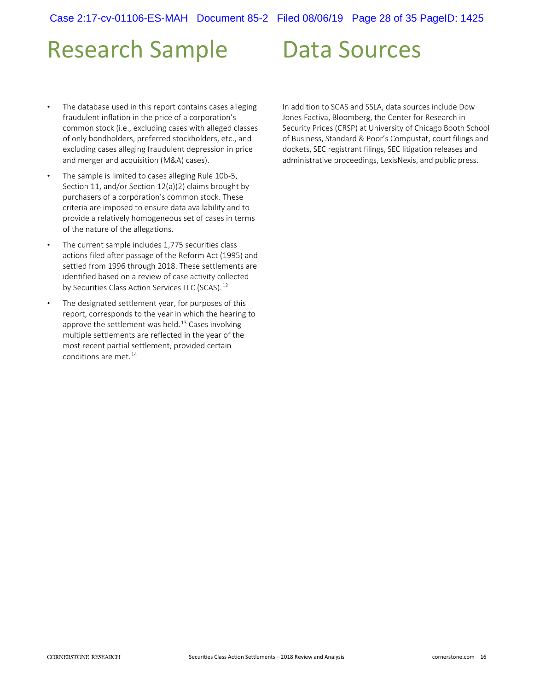# Research Sample

#### The database used in this report contains cases alleging fraudulent inflation in the price of a corporation's common stock (i.e., excluding cases with alleged classes of only bondholders, preferred stockholders, etc., and excluding cases alleging fraudulent depression in price and merger and acquisition (M&A) cases).

- The sample is limited to cases alleging Rule 10b-5, Section 11, and/or Section 12(a)(2) claims brought by purchasers of a corporation's common stock. These criteria are imposed to ensure data availability and to provide a relatively homogeneous set of cases in terms of the nature of the allegations.
- The current sample includes 1,775 securities class actions filed after passage of the Reform Act (1995) and settled from 1996 through 2018. These settlements are identified based on a review of case activity collected by Securities Class Action Services LLC (SCAS).<sup>12</sup>
- The designated settlement year, for purposes of this report, corresponds to the year in which the hearing to approve the settlement was held.<sup>13</sup> Cases involving multiple settlements are reflected in the year of the most recent partial settlement, provided certain conditions are met.<sup>14</sup>

In addition to SCAS and SSLA, data sources include Dow Jones Factiva, Bloomberg, the Center for Research in Security Prices (CRSP) at University of Chicago Booth School of Business, Standard & Poor's Compustat, court filings and dockets, SEC registrant filings, SEC litigation releases and administrative proceedings, LexisNexis, and public press.

Data Sources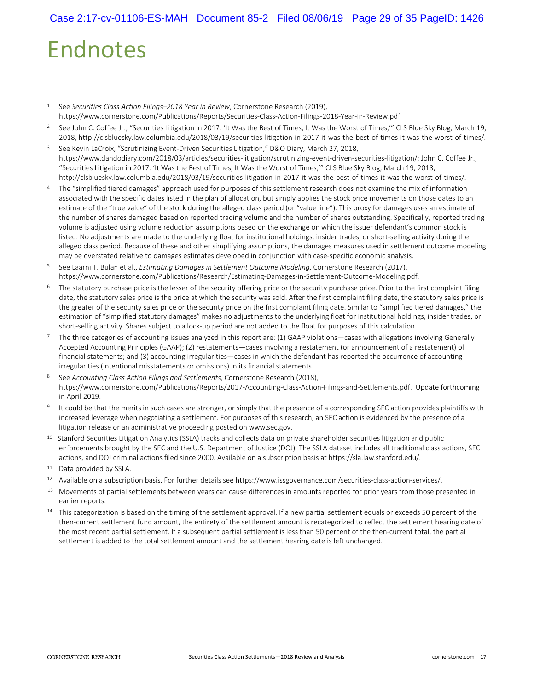# Endnotes

- 1 See *Securities Class Action Filings–2018 Year in Review*, Cornerstone Research (2019), https://www.cornerstone.com/Publications/Reports/Securities-Class-Action-Filings-2018-Year-in-Review.pdf
- 2 See John C. Coffee Jr., "Securities Litigation in 2017: 'It Was the Best of Times, It Was the Worst of Times,'" CLS Blue Sky Blog, March 19, 2018, http://clsbluesky.law.columbia.edu/2018/03/19/securities-litigation-in-2017-it-was-the-best-of-times-it-was-the-worst-of-times/.
- <sup>3</sup> See Kevin LaCroix, "Scrutinizing Event-Driven Securities Litigation," D&O Diary, March 27, 2018, https://www.dandodiary.com/2018/03/articles/securities-litigation/scrutinizing-event-driven-securities-litigation/; John C. Coffee Jr., "Securities Litigation in 2017: 'It Was the Best of Times, It Was the Worst of Times,'" CLS Blue Sky Blog, March 19, 2018, http://clsbluesky.law.columbia.edu/2018/03/19/securities-litigation-in-2017-it-was-the-best-of-times-it-was-the-worst-of-times/.
- 4 The "simplified tiered damages" approach used for purposes of this settlement research does not examine the mix of information associated with the specific dates listed in the plan of allocation, but simply applies the stock price movements on those dates to an estimate of the "true value" of the stock during the alleged class period (or "value line"). This proxy for damages uses an estimate of the number of shares damaged based on reported trading volume and the number of shares outstanding. Specifically, reported trading volume is adjusted using volume reduction assumptions based on the exchange on which the issuer defendant's common stock is listed. No adjustments are made to the underlying float for institutional holdings, insider trades, or short-selling activity during the alleged class period. Because of these and other simplifying assumptions, the damages measures used in settlement outcome modeling may be overstated relative to damages estimates developed in conjunction with case-specific economic analysis.
- 5 See Laarni T. Bulan et al., *Estimating Damages in Settlement Outcome Modeling*, Cornerstone Research (2017), https://www.cornerstone.com/Publications/Research/Estimating-Damages-in-Settlement-Outcome-Modeling.pdf.
- <sup>6</sup> The statutory purchase price is the lesser of the security offering price or the security purchase price. Prior to the first complaint filing date, the statutory sales price is the price at which the security was sold. After the first complaint filing date, the statutory sales price is the greater of the security sales price or the security price on the first complaint filing date. Similar to "simplified tiered damages," the estimation of "simplified statutory damages" makes no adjustments to the underlying float for institutional holdings, insider trades, or short-selling activity. Shares subject to a lock-up period are not added to the float for purposes of this calculation.
- $7$  The three categories of accounting issues analyzed in this report are: (1) GAAP violations—cases with allegations involving Generally Accepted Accounting Principles (GAAP); (2) restatements—cases involving a restatement (or announcement of a restatement) of financial statements; and (3) accounting irregularities—cases in which the defendant has reported the occurrence of accounting irregularities (intentional misstatements or omissions) in its financial statements.
- 8 See *Accounting Class Action Filings and Settlements*, Cornerstone Research (2018), https://www.cornerstone.com/Publications/Reports/2017-Accounting-Class-Action-Filings-and-Settlements.pdf. Update forthcoming in April 2019.
- <sup>9</sup> It could be that the merits in such cases are stronger, or simply that the presence of a corresponding SEC action provides plaintiffs with increased leverage when negotiating a settlement. For purposes of this research, an SEC action is evidenced by the presence of a litigation release or an administrative proceeding posted on www.sec.gov.
- <sup>10</sup> Stanford Securities Litigation Analytics (SSLA) tracks and collects data on private shareholder securities litigation and public enforcements brought by the SEC and the U.S. Department of Justice (DOJ). The SSLA dataset includes all traditional class actions, SEC actions, and DOJ criminal actions filed since 2000. Available on a subscription basis at https://sla.law.stanford.edu/.
- 11 Data provided by SSLA.
- 12 Available on a subscription basis. For further details see https://www.issgovernance.com/securities-class-action-services/.
- <sup>13</sup> Movements of partial settlements between years can cause differences in amounts reported for prior years from those presented in earlier reports.
- <sup>14</sup> This categorization is based on the timing of the settlement approval. If a new partial settlement equals or exceeds 50 percent of the then-current settlement fund amount, the entirety of the settlement amount is recategorized to reflect the settlement hearing date of the most recent partial settlement. If a subsequent partial settlement is less than 50 percent of the then-current total, the partial settlement is added to the total settlement amount and the settlement hearing date is left unchanged.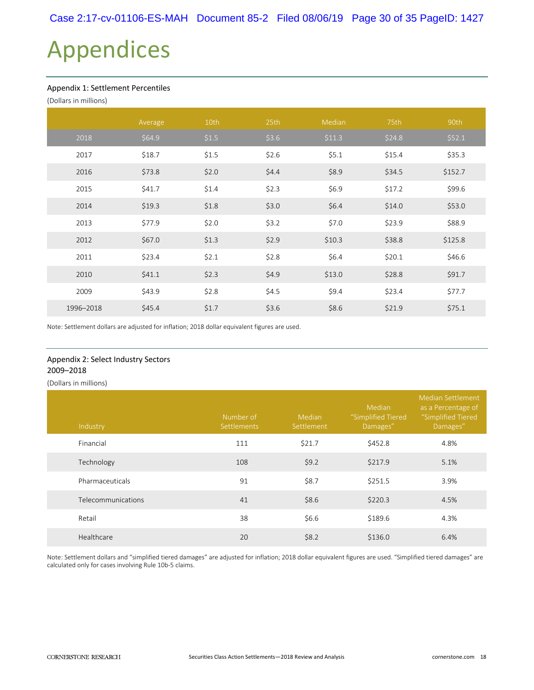# Appendices

#### Appendix 1: Settlement Percentiles

| (Dollars in millions) |         |       |       |        |        |         |
|-----------------------|---------|-------|-------|--------|--------|---------|
|                       | Average | 10th  | 25th  | Median | 75th   | 90th    |
| 2018                  | \$64.9  | \$1.5 | \$3.6 | \$11.3 | \$24.8 | \$52.1  |
| 2017                  | \$18.7  | \$1.5 | \$2.6 | \$5.1  | \$15.4 | \$35.3  |
| 2016                  | \$73.8  | \$2.0 | \$4.4 | \$8.9  | \$34.5 | \$152.7 |
| 2015                  | \$41.7  | \$1.4 | \$2.3 | \$6.9  | \$17.2 | \$99.6  |
| 2014                  | \$19.3  | \$1.8 | \$3.0 | \$6.4  | \$14.0 | \$53.0  |
| 2013                  | \$77.9  | \$2.0 | \$3.2 | \$7.0  | \$23.9 | \$88.9  |
| 2012                  | \$67.0  | \$1.3 | \$2.9 | \$10.3 | \$38.8 | \$125.8 |
| 2011                  | \$23.4  | \$2.1 | \$2.8 | \$6.4  | \$20.1 | \$46.6  |
| 2010                  | \$41.1  | \$2.3 | \$4.9 | \$13.0 | \$28.8 | \$91.7  |
| 2009                  | \$43.9  | \$2.8 | \$4.5 | \$9.4  | \$23.4 | \$77.7  |
| 1996-2018             | \$45.4  | \$1.7 | \$3.6 | \$8.6  | \$21.9 | \$75.1  |

Note: Settlement dollars are adjusted for inflation; 2018 dollar equivalent figures are used.

#### Appendix 2: Select Industry Sectors 2009–2018

(Dollars in millions)

| Industry           | Number of<br>Settlements | Median<br>Settlement | Median<br>"Simplified Tiered<br>Damages" | <b>Median Settlement</b><br>as a Percentage of<br>"Simplified Tiered<br>Damages" |
|--------------------|--------------------------|----------------------|------------------------------------------|----------------------------------------------------------------------------------|
| Financial          | 111                      | \$21.7               | \$452.8                                  | 4.8%                                                                             |
| Technology         | 108                      | \$9.2                | \$217.9                                  | 5.1%                                                                             |
| Pharmaceuticals    | 91                       | \$8.7                | \$251.5                                  | 3.9%                                                                             |
| Telecommunications | 41                       | \$8.6                | \$220.3                                  | 4.5%                                                                             |
| Retail             | 38                       | \$6.6                | \$189.6                                  | 4.3%                                                                             |
| Healthcare         | 20                       | \$8.2                | \$136.0                                  | 6.4%                                                                             |

Note: Settlement dollars and "simplified tiered damages" are adjusted for inflation; 2018 dollar equivalent figures are used. "Simplified tiered damages" are calculated only for cases involving Rule 10b-5 claims.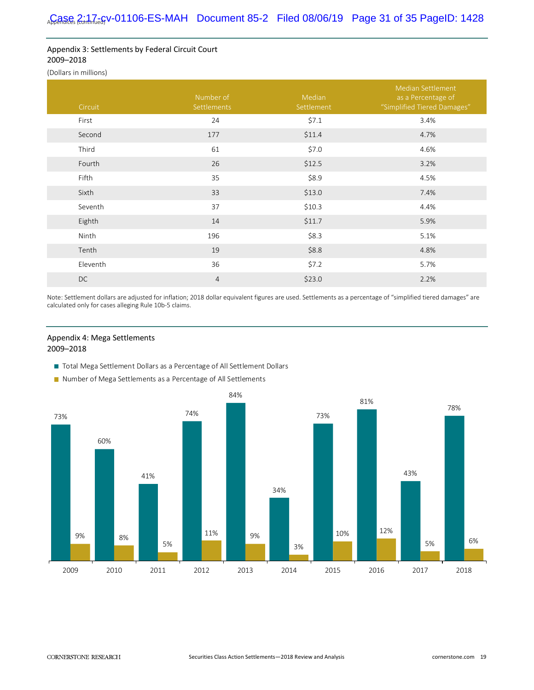#### Appendix 3: Settlements by Federal Circuit Court 2009–2018

(Dollars in millions)

| Circuit  | Number of<br>Settlements | Median<br>Settlement | <b>Median Settlement</b><br>as a Percentage of<br>"Simplified Tiered Damages" |
|----------|--------------------------|----------------------|-------------------------------------------------------------------------------|
| First    | 24                       | \$7.1                | 3.4%                                                                          |
| Second   | 177                      | \$11.4               | 4.7%                                                                          |
| Third    | 61                       | \$7.0                | 4.6%                                                                          |
| Fourth   | 26                       | \$12.5               | 3.2%                                                                          |
| Fifth    | 35                       | \$8.9                | 4.5%                                                                          |
| Sixth    | 33                       | \$13.0               | 7.4%                                                                          |
| Seventh  | 37                       | \$10.3               | 4.4%                                                                          |
| Eighth   | 14                       | \$11.7               | 5.9%                                                                          |
| Ninth    | 196                      | \$8.3                | 5.1%                                                                          |
| Tenth    | 19                       | \$8.8                | 4.8%                                                                          |
| Eleventh | 36                       | \$7.2                | 5.7%                                                                          |
| DC       | $\overline{4}$           | \$23.0               | 2.2%                                                                          |

Note: Settlement dollars are adjusted for inflation; 2018 dollar equivalent figures are used. Settlements as a percentage of "simplified tiered damages" are calculated only for cases alleging Rule 10b-5 claims.

#### Appendix 4: Mega Settlements 2009–2018

- Total Mega Settlement Dollars as a Percentage of All Settlement Dollars
- Number of Mega Settlements as a Percentage of All Settlements

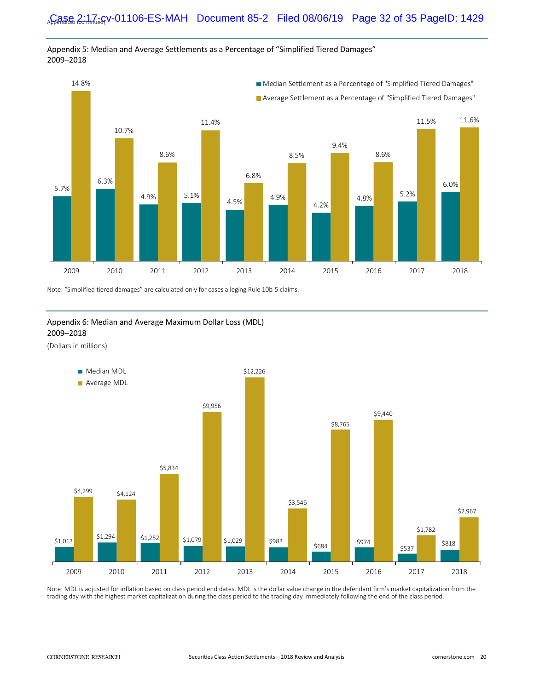

Appendix 5: Median and Average Settlements as a Percentage of "Simplified Tiered Damages" 2009–2018

Note: "Simplified tiered damages" are calculated only for cases alleging Rule 10b-5 claims.

#### Appendix 6: Median and Average Maximum Dollar Loss (MDL) 2009–2018

(Dollars in millions)



Note: MDL is adjusted for inflation based on class period end dates. MDL is the dollar value change in the defendant firm's market capitalization from the trading day with the highest market capitalization during the class period to the trading day immediately following the end of the class period.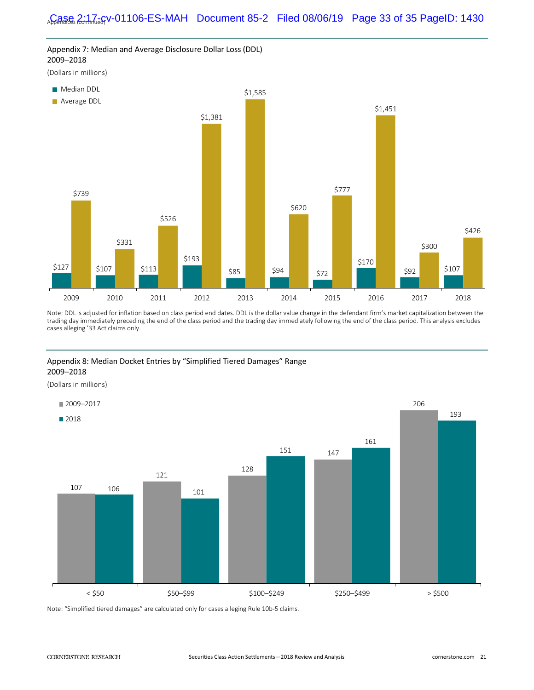

Note: DDL is adjusted for inflation based on class period end dates. DDL is the dollar value change in the defendant firm's market capitalization between the trading day immediately preceding the end of the class period and the trading day immediately following the end of the class period. This analysis excludes  cases alleging '33 Act claims only.

#### Appendix 8: Median Docket Entries by "Simplified Tiered Damages" Range 2009–2018

(Dollars in millions)



Note: "Simplified tiered damages" are calculated only for cases alleging Rule 10b-5 claims.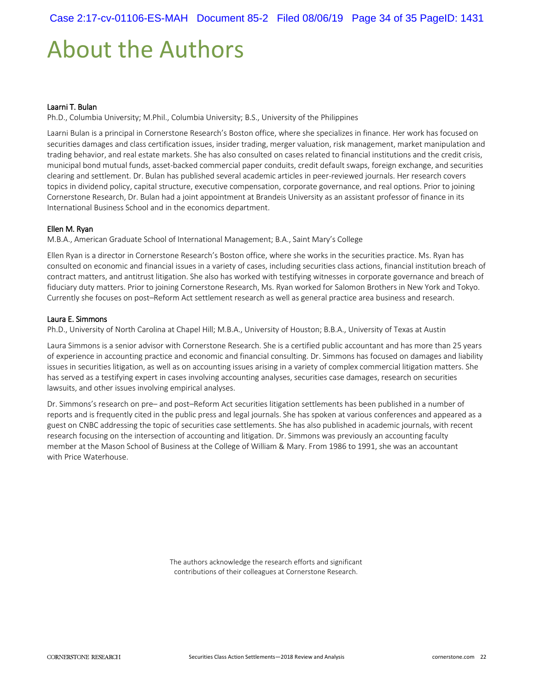# About the Authors

#### Laarni T. Bulan

Ph.D., Columbia University; M.Phil., Columbia University; B.S., University of the Philippines

Laarni Bulan is a principal in Cornerstone Research's Boston office, where she specializes in finance. Her work has focused on securities damages and class certification issues, insider trading, merger valuation, risk management, market manipulation and trading behavior, and real estate markets. She has also consulted on cases related to financial institutions and the credit crisis, municipal bond mutual funds, asset-backed commercial paper conduits, credit default swaps, foreign exchange, and securities clearing and settlement. Dr. Bulan has published several academic articles in peer-reviewed journals. Her research covers topics in dividend policy, capital structure, executive compensation, corporate governance, and real options. Prior to joining Cornerstone Research, Dr. Bulan had a joint appointment at Brandeis University as an assistant professor of finance in its International Business School and in the economics department.

#### Ellen M. Ryan

M.B.A., American Graduate School of International Management; B.A., Saint Mary's College

Ellen Ryan is a director in Cornerstone Research's Boston office, where she works in the securities practice. Ms. Ryan has consulted on economic and financial issues in a variety of cases, including securities class actions, financial institution breach of contract matters, and antitrust litigation. She also has worked with testifying witnesses in corporate governance and breach of fiduciary duty matters. Prior to joining Cornerstone Research, Ms. Ryan worked for Salomon Brothers in New York and Tokyo. Currently she focuses on post–Reform Act settlement research as well as general practice area business and research.

#### Laura E. Simmons

Ph.D., University of North Carolina at Chapel Hill; M.B.A., University of Houston; B.B.A., University of Texas at Austin

Laura Simmons is a senior advisor with Cornerstone Research. She is a certified public accountant and has more than 25 years of experience in accounting practice and economic and financial consulting. Dr. Simmons has focused on damages and liability issues in securities litigation, as well as on accounting issues arising in a variety of complex commercial litigation matters. She has served as a testifying expert in cases involving accounting analyses, securities case damages, research on securities lawsuits, and other issues involving empirical analyses.

Dr. Simmons's research on pre– and post–Reform Act securities litigation settlements has been published in a number of reports and is frequently cited in the public press and legal journals. She has spoken at various conferences and appeared as a guest on CNBC addressing the topic of securities case settlements. She has also published in academic journals, with recent research focusing on the intersection of accounting and litigation. Dr. Simmons was previously an accounting faculty member at the Mason School of Business at the College of William & Mary. From 1986 to 1991, she was an accountant with Price Waterhouse.

> The authors acknowledge the research efforts and significant contributions of their colleagues at Cornerstone Research.